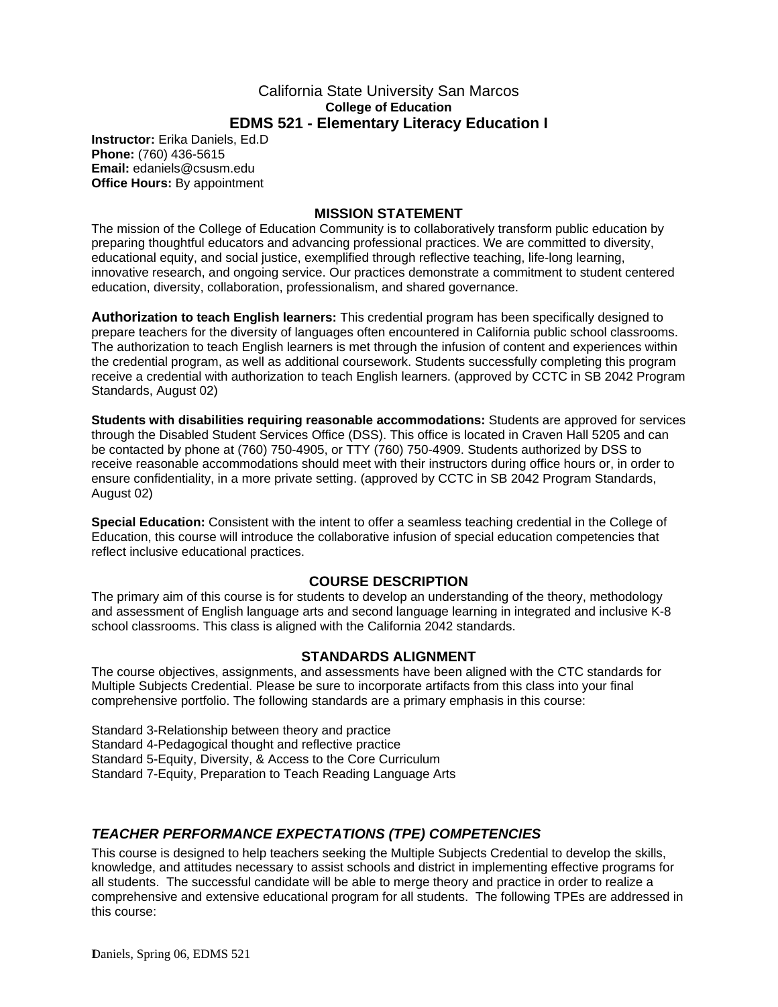### California State University San Marcos **College of Education EDMS 521 - Elementary Literacy Education I**

**Instructor:** Erika Daniels, Ed.D **Phone:** (760) 436-5615 **Email:** edaniels@csusm.edu **Office Hours:** By appointment

### **MISSION STATEMENT**

The mission of the College of Education Community is to collaboratively transform public education by preparing thoughtful educators and advancing professional practices. We are committed to diversity, educational equity, and social justice, exemplified through reflective teaching, life-long learning, innovative research, and ongoing service. Our practices demonstrate a commitment to student centered education, diversity, collaboration, professionalism, and shared governance.

**Authorization to teach English learners:** This credential program has been specifically designed to prepare teachers for the diversity of languages often encountered in California public school classrooms. The authorization to teach English learners is met through the infusion of content and experiences within the credential program, as well as additional coursework. Students successfully completing this program receive a credential with authorization to teach English learners. (approved by CCTC in SB 2042 Program Standards, August 02)

**Students with disabilities requiring reasonable accommodations:** Students are approved for services through the Disabled Student Services Office (DSS). This office is located in Craven Hall 5205 and can be contacted by phone at (760) 750-4905, or TTY (760) 750-4909. Students authorized by DSS to receive reasonable accommodations should meet with their instructors during office hours or, in order to ensure confidentiality, in a more private setting. (approved by CCTC in SB 2042 Program Standards, August 02)

**Special Education:** Consistent with the intent to offer a seamless teaching credential in the College of Education, this course will introduce the collaborative infusion of special education competencies that reflect inclusive educational practices.

#### **COURSE DESCRIPTION**

The primary aim of this course is for students to develop an understanding of the theory, methodology and assessment of English language arts and second language learning in integrated and inclusive K-8 school classrooms. This class is aligned with the California 2042 standards.

#### **STANDARDS ALIGNMENT**

The course objectives, assignments, and assessments have been aligned with the CTC standards for Multiple Subjects Credential. Please be sure to incorporate artifacts from this class into your final comprehensive portfolio. The following standards are a primary emphasis in this course:

Standard 3-Relationship between theory and practice Standard 4-Pedagogical thought and reflective practice Standard 5-Equity, Diversity, & Access to the Core Curriculum Standard 7-Equity, Preparation to Teach Reading Language Arts

### *TEACHER PERFORMANCE EXPECTATIONS (TPE) COMPETENCIES*

This course is designed to help teachers seeking the Multiple Subjects Credential to develop the skills, knowledge, and attitudes necessary to assist schools and district in implementing effective programs for all students. The successful candidate will be able to merge theory and practice in order to realize a comprehensive and extensive educational program for all students. The following TPEs are addressed in this course: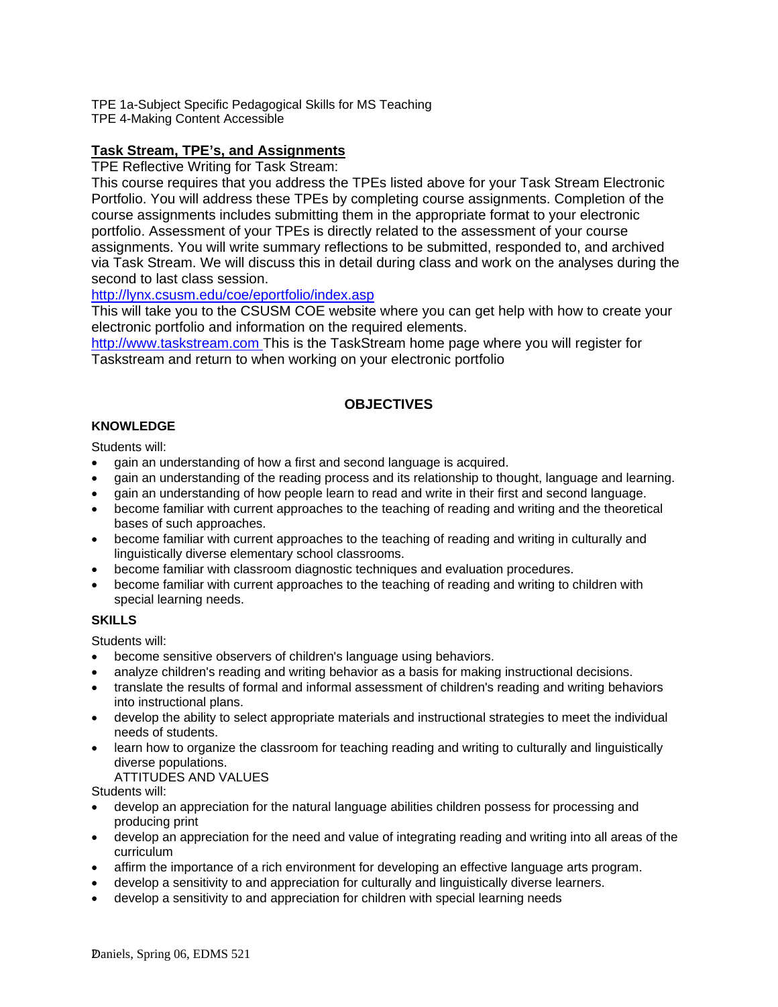TPE 1a-Subject Specific Pedagogical Skills for MS Teaching

TPE 4-Making Content Accessible

### **Task Stream, TPE's, and Assignments**

TPE Reflective Writing for Task Stream:

This course requires that you address the TPEs listed above for your Task Stream Electronic Portfolio. You will address these TPEs by completing course assignments. Completion of the course assignments includes submitting them in the appropriate format to your electronic portfolio. Assessment of your TPEs is directly related to the assessment of your course assignments. You will write summary reflections to be submitted, responded to, and archived via Task Stream. We will discuss this in detail during class and work on the analyses during the second to last class session.

http://lynx.csusm.edu/coe/eportfolio/index.asp

This will take you to the CSUSM COE website where you can get help with how to create your electronic portfolio and information on the required elements.

http://www.taskstream.com This is the TaskStream home page where you will register for Taskstream and return to when working on your electronic portfolio

### **OBJECTIVES**

### **KNOWLEDGE**

Students will:

- gain an understanding of how a first and second language is acquired.
- gain an understanding of the reading process and its relationship to thought, language and learning.
- gain an understanding of how people learn to read and write in their first and second language.
- become familiar with current approaches to the teaching of reading and writing and the theoretical bases of such approaches.
- become familiar with current approaches to the teaching of reading and writing in culturally and linguistically diverse elementary school classrooms.
- become familiar with classroom diagnostic techniques and evaluation procedures.
- become familiar with current approaches to the teaching of reading and writing to children with special learning needs.

#### **SKILLS**

Students will:

- become sensitive observers of children's language using behaviors.
- analyze children's reading and writing behavior as a basis for making instructional decisions.
- translate the results of formal and informal assessment of children's reading and writing behaviors into instructional plans.
- develop the ability to select appropriate materials and instructional strategies to meet the individual needs of students.
- learn how to organize the classroom for teaching reading and writing to culturally and linguistically diverse populations.

#### ATTITUDES AND VALUES

Students will:

- develop an appreciation for the natural language abilities children possess for processing and producing print
- develop an appreciation for the need and value of integrating reading and writing into all areas of the curriculum
- affirm the importance of a rich environment for developing an effective language arts program.
- develop a sensitivity to and appreciation for culturally and linguistically diverse learners.
- develop a sensitivity to and appreciation for children with special learning needs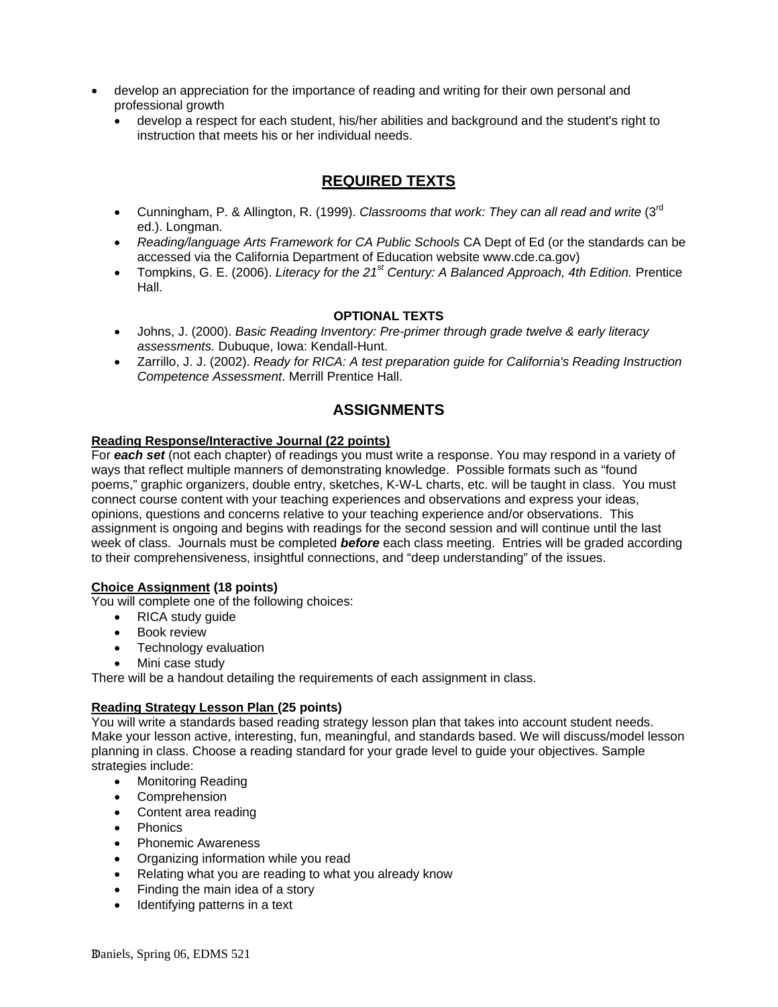- develop an appreciation for the importance of reading and writing for their own personal and professional growth
	- develop a respect for each student, his/her abilities and background and the student's right to instruction that meets his or her individual needs.

## **REQUIRED TEXTS**

- Cunningham, P. & Allington, R. (1999). *Classrooms that work: They can all read and write* (3rd ed.). Longman.
- *Reading/language Arts Framework for CA Public Schools* CA Dept of Ed (or the standards can be accessed via the California Department of Education website www.cde.ca.gov)
- Tompkins, G. E. (2006). *Literacy for the 21st Century: A Balanced Approach, 4th Edition.* Prentice Hall.

#### **OPTIONAL TEXTS**

- Johns, J. (2000). *Basic Reading Inventory: Pre-primer through grade twelve & early literacy assessments.* Dubuque, Iowa: Kendall-Hunt.
- Zarrillo, J. J. (2002). *Ready for RICA: A test preparation guide for California's Reading Instruction Competence Assessment*. Merrill Prentice Hall.

### **ASSIGNMENTS**

#### **Reading Response/Interactive Journal (22 points)**

For *each set* (not each chapter) of readings you must write a response. You may respond in a variety of ways that reflect multiple manners of demonstrating knowledge. Possible formats such as "found poems," graphic organizers, double entry, sketches, K-W-L charts, etc. will be taught in class. You must connect course content with your teaching experiences and observations and express your ideas, opinions, questions and concerns relative to your teaching experience and/or observations. This assignment is ongoing and begins with readings for the second session and will continue until the last week of class. Journals must be completed *before* each class meeting. Entries will be graded according to their comprehensiveness, insightful connections, and "deep understanding" of the issues.

#### **Choice Assignment (18 points)**

You will complete one of the following choices:

- RICA study quide
- Book review
- Technology evaluation
- Mini case study

There will be a handout detailing the requirements of each assignment in class.

#### **Reading Strategy Lesson Plan (25 points)**

You will write a standards based reading strategy lesson plan that takes into account student needs. Make your lesson active, interesting, fun, meaningful, and standards based. We will discuss/model lesson planning in class. Choose a reading standard for your grade level to guide your objectives. Sample strategies include:

- Monitoring Reading
- Comprehension
- Content area reading
- Phonics
- Phonemic Awareness
- Organizing information while you read
- Relating what you are reading to what you already know
- Finding the main idea of a story
- Identifying patterns in a text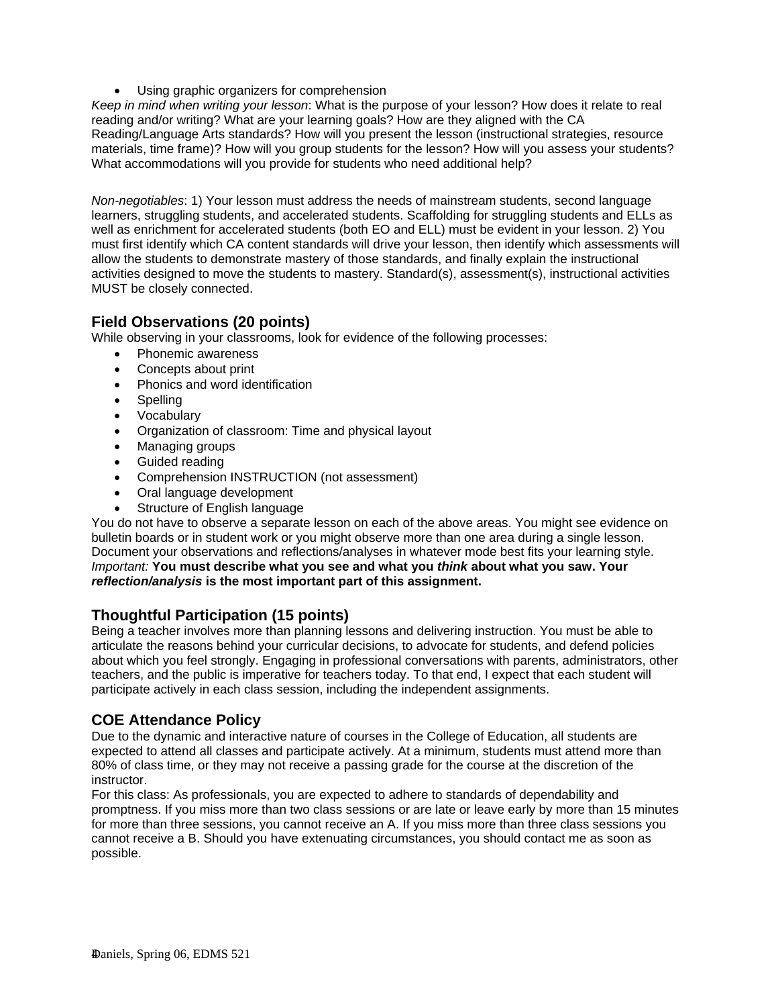• Using graphic organizers for comprehension

*Keep in mind when writing your lesson*: What is the purpose of your lesson? How does it relate to real reading and/or writing? What are your learning goals? How are they aligned with the CA Reading/Language Arts standards? How will you present the lesson (instructional strategies, resource materials, time frame)? How will you group students for the lesson? How will you assess your students? What accommodations will you provide for students who need additional help?

*Non-negotiables*: 1) Your lesson must address the needs of mainstream students, second language learners, struggling students, and accelerated students. Scaffolding for struggling students and ELLs as well as enrichment for accelerated students (both EO and ELL) must be evident in your lesson. 2) You must first identify which CA content standards will drive your lesson, then identify which assessments will allow the students to demonstrate mastery of those standards, and finally explain the instructional activities designed to move the students to mastery. Standard(s), assessment(s), instructional activities MUST be closely connected.

### **Field Observations (20 points)**

While observing in your classrooms, look for evidence of the following processes:

- Phonemic awareness
- Concepts about print
- Phonics and word identification
- Spelling
- Vocabulary
- Organization of classroom: Time and physical layout
- Managing groups
- Guided reading
- Comprehension INSTRUCTION (not assessment)
- Oral language development
- Structure of English language

You do not have to observe a separate lesson on each of the above areas. You might see evidence on bulletin boards or in student work or you might observe more than one area during a single lesson. Document your observations and reflections/analyses in whatever mode best fits your learning style. *Important:* **You must describe what you see and what you** *think* **about what you saw. Your**  *reflection/analysis* **is the most important part of this assignment.** 

### **Thoughtful Participation (15 points)**

Being a teacher involves more than planning lessons and delivering instruction. You must be able to articulate the reasons behind your curricular decisions, to advocate for students, and defend policies about which you feel strongly. Engaging in professional conversations with parents, administrators, other teachers, and the public is imperative for teachers today. To that end, I expect that each student will participate actively in each class session, including the independent assignments.

### **COE Attendance Policy**

Due to the dynamic and interactive nature of courses in the College of Education, all students are expected to attend all classes and participate actively. At a minimum, students must attend more than 80% of class time, or they may not receive a passing grade for the course at the discretion of the instructor.

For this class: As professionals, you are expected to adhere to standards of dependability and promptness. If you miss more than two class sessions or are late or leave early by more than 15 minutes for more than three sessions, you cannot receive an A. If you miss more than three class sessions you cannot receive a B. Should you have extenuating circumstances, you should contact me as soon as possible.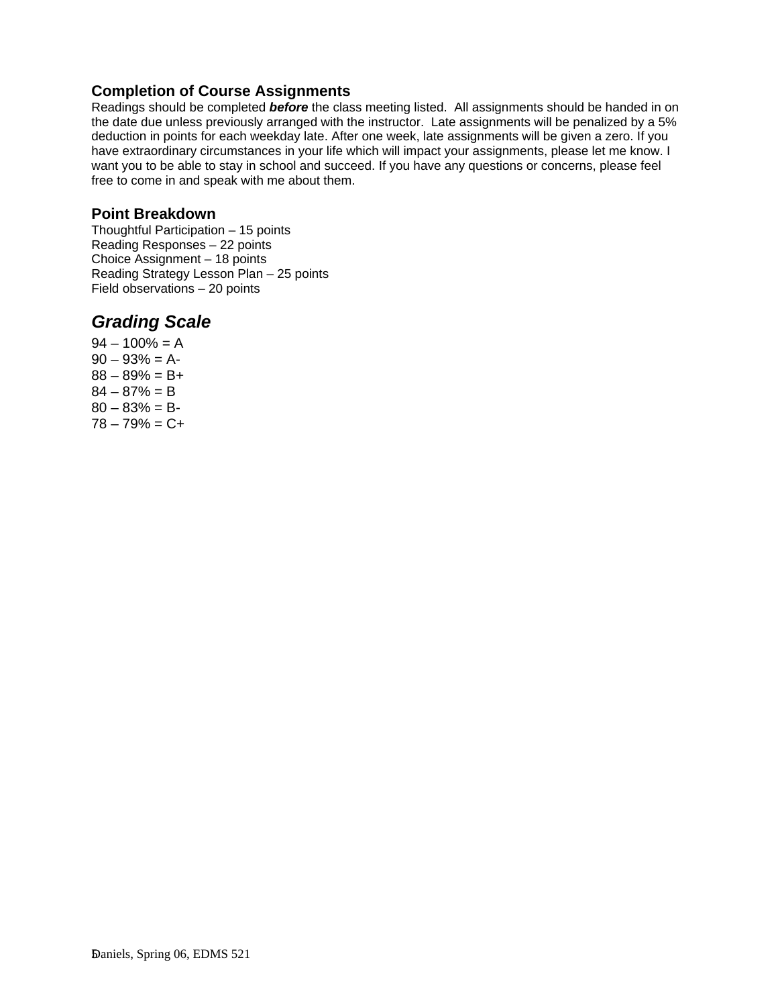### **Completion of Course Assignments**

Readings should be completed *before* the class meeting listed. All assignments should be handed in on the date due unless previously arranged with the instructor. Late assignments will be penalized by a 5% deduction in points for each weekday late. After one week, late assignments will be given a zero. If you have extraordinary circumstances in your life which will impact your assignments, please let me know. I want you to be able to stay in school and succeed. If you have any questions or concerns, please feel free to come in and speak with me about them.

### **Point Breakdown**

Thoughtful Participation – 15 points Reading Responses – 22 points Choice Assignment – 18 points Reading Strategy Lesson Plan – 25 points Field observations – 20 points

# *Grading Scale*

 $94 - 100\% = A$  $90 - 93\% = A$  $88 - 89% = B +$  $84 - 87% = B$  $80 - 83\% = B$  $78 - 79% = C +$